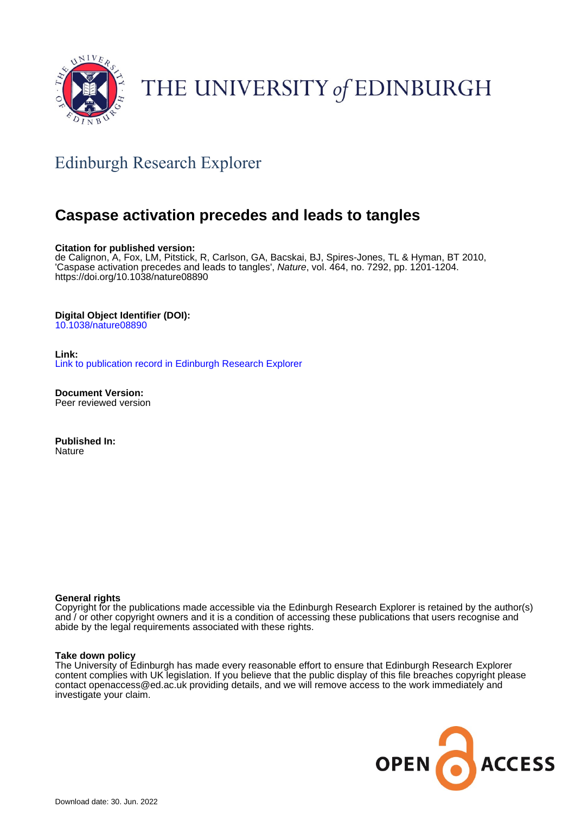

# THE UNIVERSITY of EDINBURGH

## Edinburgh Research Explorer

## **Caspase activation precedes and leads to tangles**

#### **Citation for published version:**

de Calignon, A, Fox, LM, Pitstick, R, Carlson, GA, Bacskai, BJ, Spires-Jones, TL & Hyman, BT 2010, 'Caspase activation precedes and leads to tangles', Nature, vol. 464, no. 7292, pp. 1201-1204. <https://doi.org/10.1038/nature08890>

#### **Digital Object Identifier (DOI):**

[10.1038/nature08890](https://doi.org/10.1038/nature08890)

**Link:** [Link to publication record in Edinburgh Research Explorer](https://www.research.ed.ac.uk/en/publications/83d6bc38-6cc2-4e0a-a9e0-9ea2ec1b3aaf)

**Document Version:** Peer reviewed version

**Published In: Nature** 

#### **General rights**

Copyright for the publications made accessible via the Edinburgh Research Explorer is retained by the author(s) and / or other copyright owners and it is a condition of accessing these publications that users recognise and abide by the legal requirements associated with these rights.

#### **Take down policy**

The University of Edinburgh has made every reasonable effort to ensure that Edinburgh Research Explorer content complies with UK legislation. If you believe that the public display of this file breaches copyright please contact openaccess@ed.ac.uk providing details, and we will remove access to the work immediately and investigate your claim.

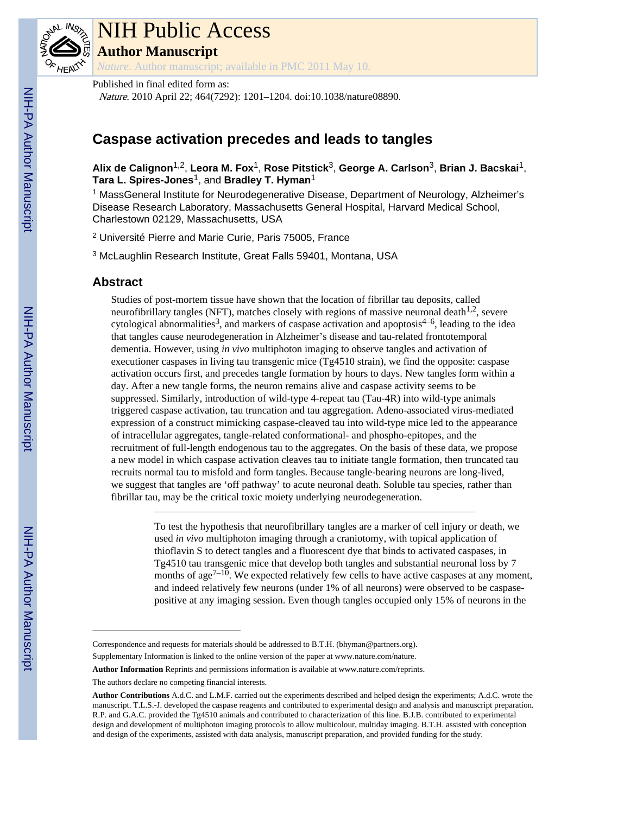

# NIH Public Access

**Author Manuscript**

*Nature*. Author manuscript; available in PMC 2011 May 10.

Published in final edited form as: Nature. 2010 April 22; 464(7292): 1201–1204. doi:10.1038/nature08890.

### **Caspase activation precedes and leads to tangles**

**Alix de Calignon**1,2, **Leora M. Fox**1, **Rose Pitstick**3, **George A. Carlson**3, **Brian J. Bacskai**1, **Tara L. Spires-Jones**1, and **Bradley T. Hyman**<sup>1</sup>

<sup>1</sup> MassGeneral Institute for Neurodegenerative Disease, Department of Neurology, Alzheimer's Disease Research Laboratory, Massachusetts General Hospital, Harvard Medical School, Charlestown 02129, Massachusetts, USA

2 Université Pierre and Marie Curie, Paris 75005, France

3 McLaughlin Research Institute, Great Falls 59401, Montana, USA

#### **Abstract**

Studies of post-mortem tissue have shown that the location of fibrillar tau deposits, called neurofibrillary tangles (NFT), matches closely with regions of massive neuronal death<sup>1,2</sup>, severe cytological abnormalities<sup>3</sup>, and markers of caspase activation and apoptosis<sup>4–6</sup>, leading to the idea that tangles cause neurodegeneration in Alzheimer's disease and tau-related frontotemporal dementia. However, using *in vivo* multiphoton imaging to observe tangles and activation of executioner caspases in living tau transgenic mice (Tg4510 strain), we find the opposite: caspase activation occurs first, and precedes tangle formation by hours to days. New tangles form within a day. After a new tangle forms, the neuron remains alive and caspase activity seems to be suppressed. Similarly, introduction of wild-type 4-repeat tau (Tau-4R) into wild-type animals triggered caspase activation, tau truncation and tau aggregation. Adeno-associated virus-mediated expression of a construct mimicking caspase-cleaved tau into wild-type mice led to the appearance of intracellular aggregates, tangle-related conformational- and phospho-epitopes, and the recruitment of full-length endogenous tau to the aggregates. On the basis of these data, we propose a new model in which caspase activation cleaves tau to initiate tangle formation, then truncated tau recruits normal tau to misfold and form tangles. Because tangle-bearing neurons are long-lived, we suggest that tangles are 'off pathway' to acute neuronal death. Soluble tau species, rather than fibrillar tau, may be the critical toxic moiety underlying neurodegeneration.

> To test the hypothesis that neurofibrillary tangles are a marker of cell injury or death, we used *in vivo* multiphoton imaging through a craniotomy, with topical application of thioflavin S to detect tangles and a fluorescent dye that binds to activated caspases, in Tg4510 tau transgenic mice that develop both tangles and substantial neuronal loss by 7 months of age<sup> $7-10$ </sup>. We expected relatively few cells to have active caspases at any moment, and indeed relatively few neurons (under 1% of all neurons) were observed to be caspasepositive at any imaging session. Even though tangles occupied only 15% of neurons in the

Correspondence and requests for materials should be addressed to B.T.H. (bhyman@partners.org).

Supplementary Information is linked to the online version of the paper at www.nature.com/nature.

**Author Information** Reprints and permissions information is available at www.nature.com/reprints.

The authors declare no competing financial interests.

**Author Contributions** A.d.C. and L.M.F. carried out the experiments described and helped design the experiments; A.d.C. wrote the manuscript. T.L.S.-J. developed the caspase reagents and contributed to experimental design and analysis and manuscript preparation. R.P. and G.A.C. provided the Tg4510 animals and contributed to characterization of this line. B.J.B. contributed to experimental design and development of multiphoton imaging protocols to allow multicolour, multiday imaging. B.T.H. assisted with conception and design of the experiments, assisted with data analysis, manuscript preparation, and provided funding for the study.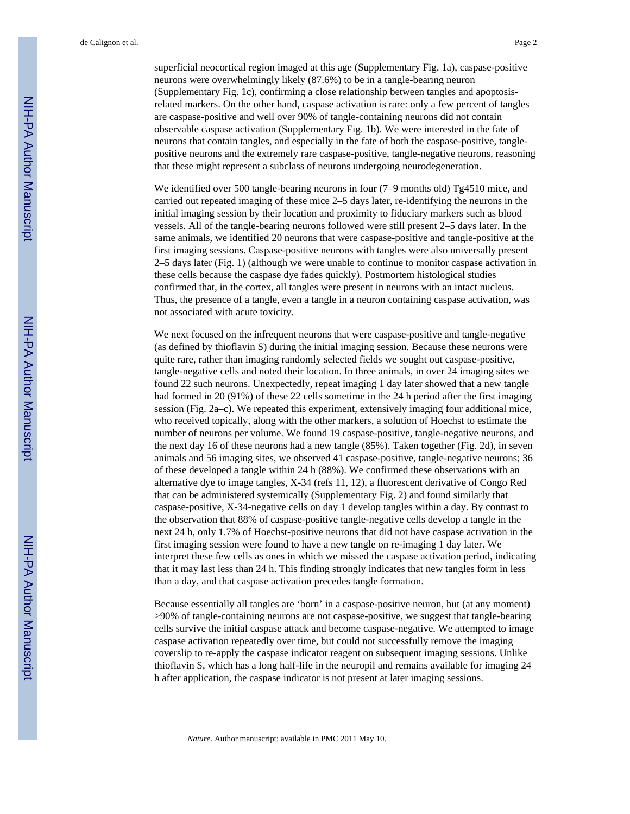superficial neocortical region imaged at this age (Supplementary Fig. 1a), caspase-positive neurons were overwhelmingly likely (87.6%) to be in a tangle-bearing neuron (Supplementary Fig. 1c), confirming a close relationship between tangles and apoptosisrelated markers. On the other hand, caspase activation is rare: only a few percent of tangles are caspase-positive and well over 90% of tangle-containing neurons did not contain observable caspase activation (Supplementary Fig. 1b). We were interested in the fate of neurons that contain tangles, and especially in the fate of both the caspase-positive, tanglepositive neurons and the extremely rare caspase-positive, tangle-negative neurons, reasoning that these might represent a subclass of neurons undergoing neurodegeneration.

We identified over 500 tangle-bearing neurons in four  $(7-9$  months old) Tg4510 mice, and carried out repeated imaging of these mice 2–5 days later, re-identifying the neurons in the initial imaging session by their location and proximity to fiduciary markers such as blood vessels. All of the tangle-bearing neurons followed were still present 2–5 days later. In the same animals, we identified 20 neurons that were caspase-positive and tangle-positive at the first imaging sessions. Caspase-positive neurons with tangles were also universally present 2–5 days later (Fig. 1) (although we were unable to continue to monitor caspase activation in these cells because the caspase dye fades quickly). Postmortem histological studies confirmed that, in the cortex, all tangles were present in neurons with an intact nucleus. Thus, the presence of a tangle, even a tangle in a neuron containing caspase activation, was not associated with acute toxicity.

We next focused on the infrequent neurons that were caspase-positive and tangle-negative (as defined by thioflavin S) during the initial imaging session. Because these neurons were quite rare, rather than imaging randomly selected fields we sought out caspase-positive, tangle-negative cells and noted their location. In three animals, in over 24 imaging sites we found 22 such neurons. Unexpectedly, repeat imaging 1 day later showed that a new tangle had formed in 20 (91%) of these 22 cells sometime in the 24 h period after the first imaging session (Fig. 2a–c). We repeated this experiment, extensively imaging four additional mice, who received topically, along with the other markers, a solution of Hoechst to estimate the number of neurons per volume. We found 19 caspase-positive, tangle-negative neurons, and the next day 16 of these neurons had a new tangle (85%). Taken together (Fig. 2d), in seven animals and 56 imaging sites, we observed 41 caspase-positive, tangle-negative neurons; 36 of these developed a tangle within 24 h (88%). We confirmed these observations with an alternative dye to image tangles, X-34 (refs 11, 12), a fluorescent derivative of Congo Red that can be administered systemically (Supplementary Fig. 2) and found similarly that caspase-positive, X-34-negative cells on day 1 develop tangles within a day. By contrast to the observation that 88% of caspase-positive tangle-negative cells develop a tangle in the next 24 h, only 1.7% of Hoechst-positive neurons that did not have caspase activation in the first imaging session were found to have a new tangle on re-imaging 1 day later. We interpret these few cells as ones in which we missed the caspase activation period, indicating that it may last less than 24 h. This finding strongly indicates that new tangles form in less than a day, and that caspase activation precedes tangle formation.

Because essentially all tangles are 'born' in a caspase-positive neuron, but (at any moment) >90% of tangle-containing neurons are not caspase-positive, we suggest that tangle-bearing cells survive the initial caspase attack and become caspase-negative. We attempted to image caspase activation repeatedly over time, but could not successfully remove the imaging coverslip to re-apply the caspase indicator reagent on subsequent imaging sessions. Unlike thioflavin S, which has a long half-life in the neuropil and remains available for imaging 24 h after application, the caspase indicator is not present at later imaging sessions.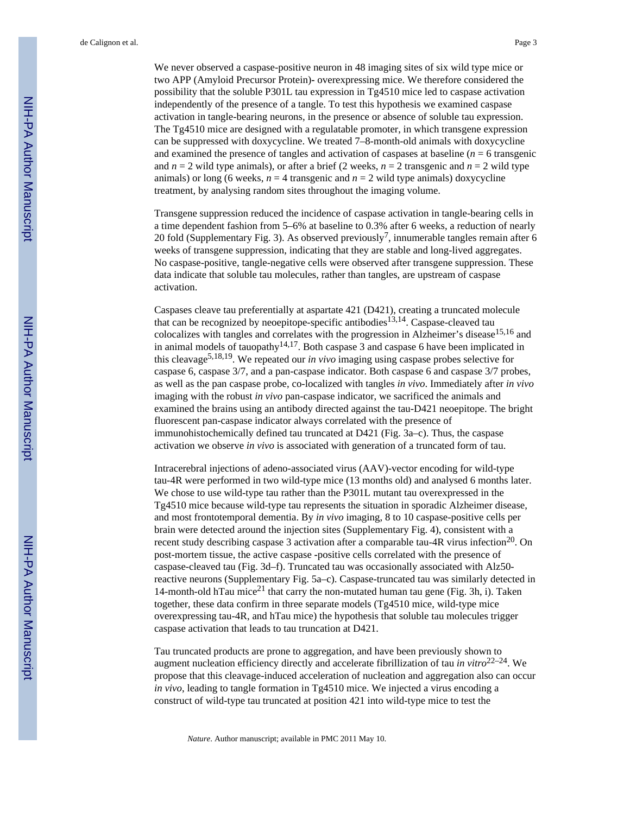de Calignon et al. Page 3

We never observed a caspase-positive neuron in 48 imaging sites of six wild type mice or two APP (Amyloid Precursor Protein)**-** overexpressing mice. We therefore considered the possibility that the soluble P301L tau expression in Tg4510 mice led to caspase activation independently of the presence of a tangle. To test this hypothesis we examined caspase activation in tangle-bearing neurons, in the presence or absence of soluble tau expression. The Tg4510 mice are designed with a regulatable promoter, in which transgene expression can be suppressed with doxycycline. We treated 7–8-month-old animals with doxycycline and examined the presence of tangles and activation of caspases at baseline  $(n = 6 \text{ transgenic})$ and  $n = 2$  wild type animals), or after a brief (2 weeks,  $n = 2$  transgenic and  $n = 2$  wild type animals) or long (6 weeks,  $n = 4$  transgenic and  $n = 2$  wild type animals) doxycycline treatment, by analysing random sites throughout the imaging volume.

Transgene suppression reduced the incidence of caspase activation in tangle-bearing cells in a time dependent fashion from 5–6% at baseline to 0.3% after 6 weeks, a reduction of nearly 20 fold (Supplementary Fig. 3). As observed previously<sup>7</sup>, innumerable tangles remain after 6 weeks of transgene suppression, indicating that they are stable and long-lived aggregates. No caspase-positive, tangle-negative cells were observed after transgene suppression. These data indicate that soluble tau molecules, rather than tangles, are upstream of caspase activation.

Caspases cleave tau preferentially at aspartate 421 (D421), creating a truncated molecule that can be recognized by neoepitope-specific antibodies<sup>13,14</sup>. Caspase-cleaved tau colocalizes with tangles and correlates with the progression in Alzheimer's disease<sup>15,16</sup> and in animal models of tauopathy<sup>14,17</sup>. Both caspase 3 and caspase 6 have been implicated in this cleavage5,18,19. We repeated our *in vivo* imaging using caspase probes selective for caspase 6, caspase 3/7, and a pan-caspase indicator. Both caspase 6 and caspase 3/7 probes, as well as the pan caspase probe, co-localized with tangles *in vivo*. Immediately after *in vivo* imaging with the robust *in vivo* pan-caspase indicator, we sacrificed the animals and examined the brains using an antibody directed against the tau-D421 neoepitope. The bright fluorescent pan-caspase indicator always correlated with the presence of immunohistochemically defined tau truncated at D421 (Fig. 3a–c). Thus, the caspase activation we observe *in vivo* is associated with generation of a truncated form of tau.

Intracerebral injections of adeno-associated virus (AAV)-vector encoding for wild-type tau-4R were performed in two wild-type mice (13 months old) and analysed 6 months later. We chose to use wild-type tau rather than the P301L mutant tau overexpressed in the Tg4510 mice because wild-type tau represents the situation in sporadic Alzheimer disease, and most frontotemporal dementia. By *in vivo* imaging, 8 to 10 caspase-positive cells per brain were detected around the injection sites (Supplementary Fig. 4), consistent with a recent study describing caspase 3 activation after a comparable tau-4R virus infection<sup>20</sup>. On post-mortem tissue, the active caspase **-**positive cells correlated with the presence of caspase-cleaved tau (Fig. 3d–f). Truncated tau was occasionally associated with Alz50 reactive neurons (Supplementary Fig. 5a–c). Caspase-truncated tau was similarly detected in 14-month-old hTau mice<sup>21</sup> that carry the non-mutated human tau gene (Fig. 3h, i). Taken together, these data confirm in three separate models (Tg4510 mice, wild-type mice overexpressing tau-4R, and hTau mice) the hypothesis that soluble tau molecules trigger caspase activation that leads to tau truncation at D421.

Tau truncated products are prone to aggregation, and have been previously shown to augment nucleation efficiency directly and accelerate fibrillization of tau *in vitro*<sup>22–24</sup>. We propose that this cleavage-induced acceleration of nucleation and aggregation also can occur *in vivo*, leading to tangle formation in Tg4510 mice. We injected a virus encoding a construct of wild-type tau truncated at position 421 into wild-type mice to test the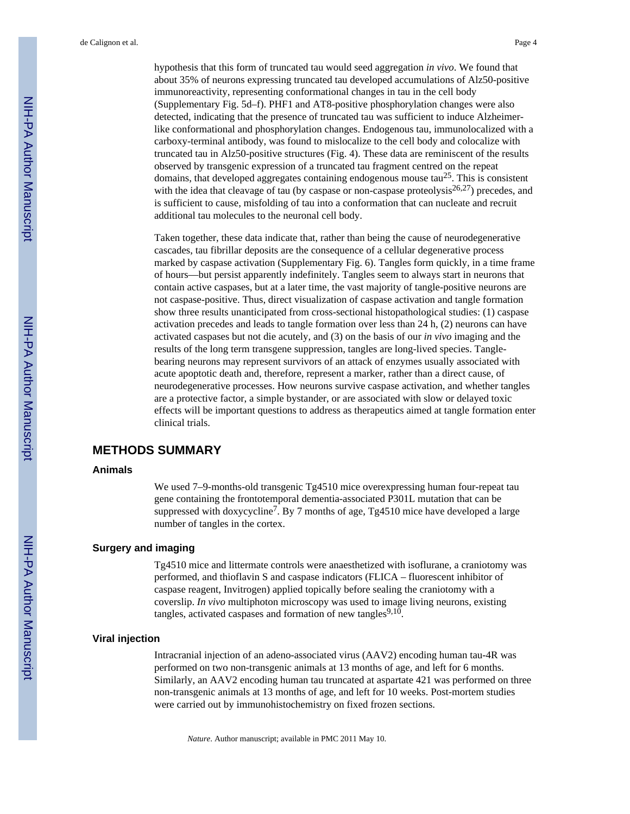hypothesis that this form of truncated tau would seed aggregation *in vivo*. We found that about 35% of neurons expressing truncated tau developed accumulations of Alz50-positive immunoreactivity, representing conformational changes in tau in the cell body (Supplementary Fig. 5d–f). PHF1 and AT8-positive phosphorylation changes were also detected, indicating that the presence of truncated tau was sufficient to induce Alzheimerlike conformational and phosphorylation changes. Endogenous tau, immunolocalized with a carboxy-terminal antibody, was found to mislocalize to the cell body and colocalize with truncated tau in Alz50-positive structures (Fig. 4). These data are reminiscent of the results observed by transgenic expression of a truncated tau fragment centred on the repeat domains, that developed aggregates containing endogenous mouse  $tau^{25}$ . This is consistent with the idea that cleavage of tau (by caspase or non-caspase proteolysis<sup>26,27</sup>) precedes, and is sufficient to cause, misfolding of tau into a conformation that can nucleate and recruit additional tau molecules to the neuronal cell body.

Taken together, these data indicate that, rather than being the cause of neurodegenerative cascades, tau fibrillar deposits are the consequence of a cellular degenerative process marked by caspase activation (Supplementary Fig. 6). Tangles form quickly, in a time frame of hours—but persist apparently indefinitely. Tangles seem to always start in neurons that contain active caspases, but at a later time, the vast majority of tangle-positive neurons are not caspase-positive. Thus, direct visualization of caspase activation and tangle formation show three results unanticipated from cross-sectional histopathological studies: (1) caspase activation precedes and leads to tangle formation over less than 24 h, (2) neurons can have activated caspases but not die acutely, and (3) on the basis of our *in vivo* imaging and the results of the long term transgene suppression, tangles are long-lived species. Tanglebearing neurons may represent survivors of an attack of enzymes usually associated with acute apoptotic death and, therefore, represent a marker, rather than a direct cause, of neurodegenerative processes. How neurons survive caspase activation, and whether tangles are a protective factor, a simple bystander, or are associated with slow or delayed toxic effects will be important questions to address as therapeutics aimed at tangle formation enter clinical trials.

#### **METHODS SUMMARY**

#### **Animals**

We used 7–9-months-old transgenic Tg4510 mice overexpressing human four-repeat tau gene containing the frontotemporal dementia-associated P301L mutation that can be suppressed with doxycycline<sup>7</sup>. By 7 months of age, Tg4510 mice have developed a large number of tangles in the cortex.

#### **Surgery and imaging**

Tg4510 mice and littermate controls were anaesthetized with isoflurane, a craniotomy was performed, and thioflavin S and caspase indicators (FLICA – fluorescent inhibitor of caspase reagent, Invitrogen) applied topically before sealing the craniotomy with a coverslip. *In vivo* multiphoton microscopy was used to image living neurons, existing tangles, activated caspases and formation of new tangles $9,10$ .

#### **Viral injection**

Intracranial injection of an adeno-associated virus (AAV2) encoding human tau-4R was performed on two non-transgenic animals at 13 months of age, and left for 6 months. Similarly, an AAV2 encoding human tau truncated at aspartate 421 was performed on three non-transgenic animals at 13 months of age, and left for 10 weeks. Post-mortem studies were carried out by immunohistochemistry on fixed frozen sections.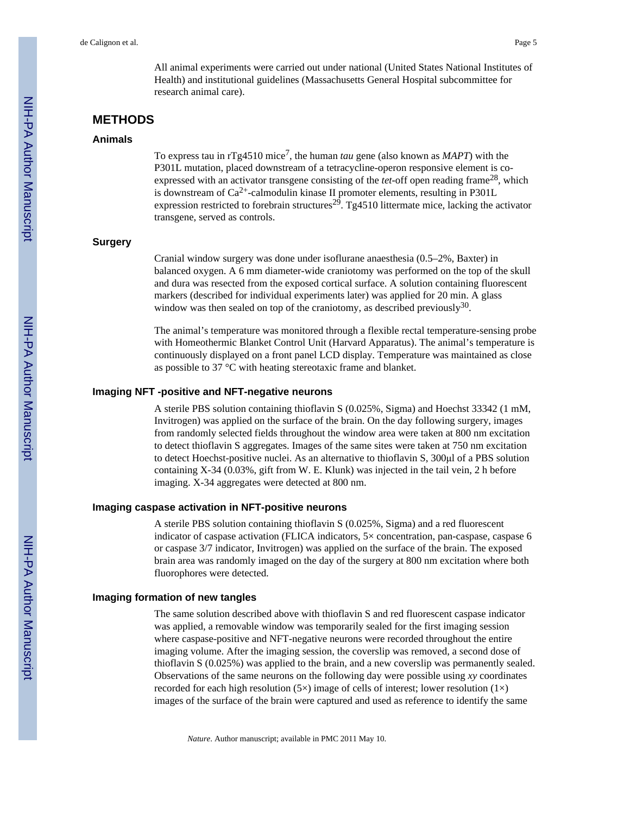All animal experiments were carried out under national (United States National Institutes of Health) and institutional guidelines (Massachusetts General Hospital subcommittee for research animal care).

#### **METHODS**

#### **Animals**

To express tau in rTg4510 mice<sup>7</sup>, the human *tau* gene (also known as *MAPT*) with the P301L mutation, placed downstream of a tetracycline-operon responsive element is coexpressed with an activator transgene consisting of the *tet*-off open reading frame<sup>28</sup>, which is downstream of  $Ca^{2+}$ -calmodulin kinase II promoter elements, resulting in P301L expression restricted to forebrain structures<sup>29</sup>. Tg4510 littermate mice, lacking the activator transgene, served as controls.

#### **Surgery**

Cranial window surgery was done under isoflurane anaesthesia (0.5–2%, Baxter) in balanced oxygen. A 6 mm diameter-wide craniotomy was performed on the top of the skull and dura was resected from the exposed cortical surface. A solution containing fluorescent markers (described for individual experiments later) was applied for 20 min. A glass window was then sealed on top of the craniotomy, as described previously<sup>30</sup>.

The animal's temperature was monitored through a flexible rectal temperature-sensing probe with Homeothermic Blanket Control Unit (Harvard Apparatus). The animal's temperature is continuously displayed on a front panel LCD display. Temperature was maintained as close as possible to 37 °C with heating stereotaxic frame and blanket.

#### **Imaging NFT -positive and NFT-negative neurons**

A sterile PBS solution containing thioflavin S (0.025%, Sigma) and Hoechst 33342 (1 mM, Invitrogen) was applied on the surface of the brain. On the day following surgery, images from randomly selected fields throughout the window area were taken at 800 nm excitation to detect thioflavin S aggregates. Images of the same sites were taken at 750 nm excitation to detect Hoechst-positive nuclei. As an alternative to thioflavin S, 300μl of a PBS solution containing X-34 (0.03%, gift from W. E. Klunk) was injected in the tail vein, 2 h before imaging. X-34 aggregates were detected at 800 nm.

#### **Imaging caspase activation in NFT-positive neurons**

A sterile PBS solution containing thioflavin S (0.025%, Sigma) and a red fluorescent indicator of caspase activation (FLICA indicators, 5× concentration, pan-caspase, caspase 6 or caspase 3/7 indicator, Invitrogen) was applied on the surface of the brain. The exposed brain area was randomly imaged on the day of the surgery at 800 nm excitation where both fluorophores were detected.

#### **Imaging formation of new tangles**

The same solution described above with thioflavin S and red fluorescent caspase indicator was applied, a removable window was temporarily sealed for the first imaging session where caspase-positive and NFT-negative neurons were recorded throughout the entire imaging volume. After the imaging session, the coverslip was removed, a second dose of thioflavin S (0.025%) was applied to the brain, and a new coverslip was permanently sealed. Observations of the same neurons on the following day were possible using *xy* coordinates recorded for each high resolution (5×) image of cells of interest; lower resolution (1×) images of the surface of the brain were captured and used as reference to identify the same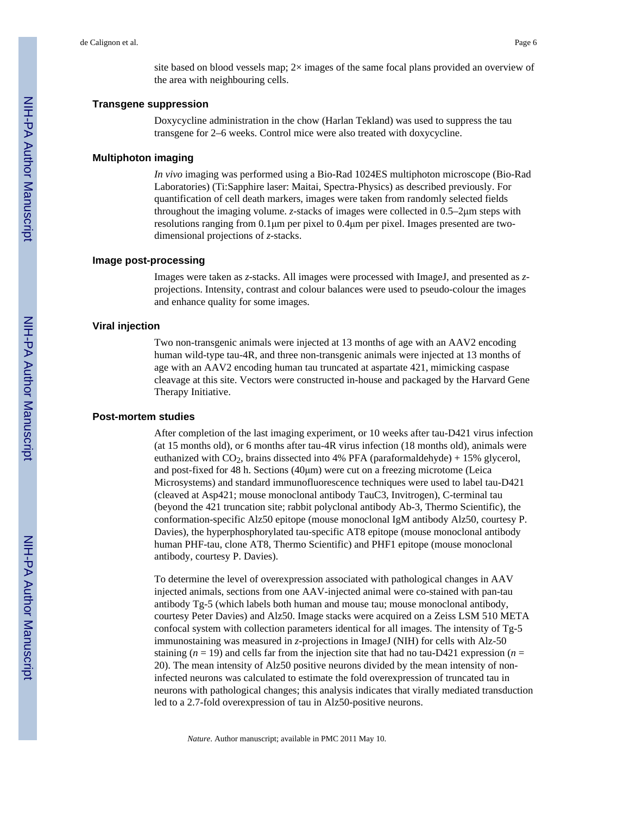site based on blood vessels map;  $2\times$  images of the same focal plans provided an overview of the area with neighbouring cells.

#### **Transgene suppression**

Doxycycline administration in the chow (Harlan Tekland) was used to suppress the tau transgene for 2–6 weeks. Control mice were also treated with doxycycline.

#### **Multiphoton imaging**

*In vivo* imaging was performed using a Bio-Rad 1024ES multiphoton microscope (Bio-Rad Laboratories) (Ti:Sapphire laser: Maitai, Spectra-Physics) as described previously. For quantification of cell death markers, images were taken from randomly selected fields throughout the imaging volume. *z*-stacks of images were collected in 0.5–2μm steps with resolutions ranging from  $0.1 \mu m$  per pixel to  $0.4 \mu m$  per pixel. Images presented are twodimensional projections of *z*-stacks.

#### **Image post-processing**

Images were taken as *z*-stacks. All images were processed with ImageJ, and presented as *z*projections. Intensity, contrast and colour balances were used to pseudo-colour the images and enhance quality for some images.

#### **Viral injection**

Two non-transgenic animals were injected at 13 months of age with an AAV2 encoding human wild-type tau-4R, and three non-transgenic animals were injected at 13 months of age with an AAV2 encoding human tau truncated at aspartate 421, mimicking caspase cleavage at this site. Vectors were constructed in-house and packaged by the Harvard Gene Therapy Initiative.

#### **Post-mortem studies**

After completion of the last imaging experiment, or 10 weeks after tau-D421 virus infection (at 15 months old), or 6 months after tau-4R virus infection (18 months old), animals were euthanized with  $CO<sub>2</sub>$ , brains dissected into 4% PFA (paraformaldehyde) + 15% glycerol, and post-fixed for 48 h. Sections (40μm) were cut on a freezing microtome (Leica Microsystems) and standard immunofluorescence techniques were used to label tau-D421 (cleaved at Asp421; mouse monoclonal antibody TauC3, Invitrogen), C-terminal tau (beyond the 421 truncation site; rabbit polyclonal antibody Ab-3, Thermo Scientific), the conformation-specific Alz50 epitope (mouse monoclonal IgM antibody Alz50, courtesy P. Davies), the hyperphosphorylated tau-specific AT8 epitope (mouse monoclonal antibody human PHF-tau, clone AT8, Thermo Scientific) and PHF1 epitope (mouse monoclonal antibody, courtesy P. Davies).

To determine the level of overexpression associated with pathological changes in AAV injected animals, sections from one AAV-injected animal were co-stained with pan-tau antibody Tg-5 (which labels both human and mouse tau; mouse monoclonal antibody, courtesy Peter Davies) and Alz50. Image stacks were acquired on a Zeiss LSM 510 META confocal system with collection parameters identical for all images. The intensity of Tg-5 immunostaining was measured in *z*-projections in ImageJ (NIH) for cells with Alz-50 staining  $(n = 19)$  and cells far from the injection site that had no tau-D421 expression  $(n = 19)$ 20). The mean intensity of Alz50 positive neurons divided by the mean intensity of noninfected neurons was calculated to estimate the fold overexpression of truncated tau in neurons with pathological changes; this analysis indicates that virally mediated transduction led to a 2.7-fold overexpression of tau in Alz50-positive neurons.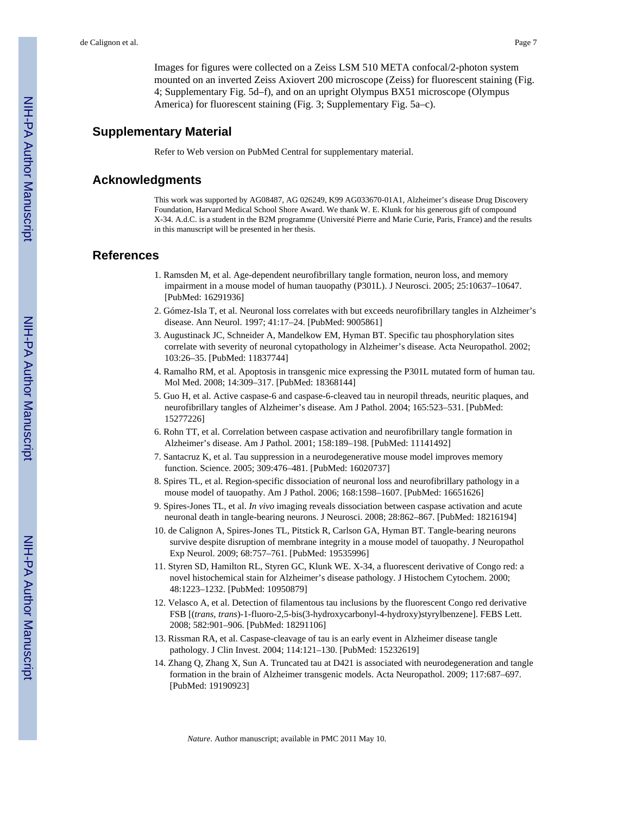Images for figures were collected on a Zeiss LSM 510 META confocal/2-photon system mounted on an inverted Zeiss Axiovert 200 microscope (Zeiss) for fluorescent staining (Fig. 4; Supplementary Fig. 5d–f), and on an upright Olympus BX51 microscope (Olympus America) for fluorescent staining (Fig. 3; Supplementary Fig. 5a–c).

#### **Supplementary Material**

Refer to Web version on PubMed Central for supplementary material.

#### **Acknowledgments**

This work was supported by AG08487, AG 026249, K99 AG033670-01A1, Alzheimer's disease Drug Discovery Foundation, Harvard Medical School Shore Award. We thank W. E. Klunk for his generous gift of compound X-34. A.d.C. is a student in the B2M programme (Université Pierre and Marie Curie, Paris, France) and the results in this manuscript will be presented in her thesis.

#### **References**

- 1. Ramsden M, et al. Age-dependent neurofibrillary tangle formation, neuron loss, and memory impairment in a mouse model of human tauopathy (P301L). J Neurosci. 2005; 25:10637–10647. [PubMed: 16291936]
- 2. Gómez-Isla T, et al. Neuronal loss correlates with but exceeds neurofibrillary tangles in Alzheimer's disease. Ann Neurol. 1997; 41:17–24. [PubMed: 9005861]
- 3. Augustinack JC, Schneider A, Mandelkow EM, Hyman BT. Specific tau phosphorylation sites correlate with severity of neuronal cytopathology in Alzheimer's disease. Acta Neuropathol. 2002; 103:26–35. [PubMed: 11837744]
- 4. Ramalho RM, et al. Apoptosis in transgenic mice expressing the P301L mutated form of human tau. Mol Med. 2008; 14:309–317. [PubMed: 18368144]
- 5. Guo H, et al. Active caspase-6 and caspase-6-cleaved tau in neuropil threads, neuritic plaques, and neurofibrillary tangles of Alzheimer's disease. Am J Pathol. 2004; 165:523–531. [PubMed: 15277226]
- 6. Rohn TT, et al. Correlation between caspase activation and neurofibrillary tangle formation in Alzheimer's disease. Am J Pathol. 2001; 158:189–198. [PubMed: 11141492]
- 7. Santacruz K, et al. Tau suppression in a neurodegenerative mouse model improves memory function. Science. 2005; 309:476–481. [PubMed: 16020737]
- 8. Spires TL, et al. Region-specific dissociation of neuronal loss and neurofibrillary pathology in a mouse model of tauopathy. Am J Pathol. 2006; 168:1598–1607. [PubMed: 16651626]
- 9. Spires-Jones TL, et al. *In vivo* imaging reveals dissociation between caspase activation and acute neuronal death in tangle-bearing neurons. J Neurosci. 2008; 28:862–867. [PubMed: 18216194]
- 10. de Calignon A, Spires-Jones TL, Pitstick R, Carlson GA, Hyman BT. Tangle-bearing neurons survive despite disruption of membrane integrity in a mouse model of tauopathy. J Neuropathol Exp Neurol. 2009; 68:757–761. [PubMed: 19535996]
- 11. Styren SD, Hamilton RL, Styren GC, Klunk WE. X-34, a fluorescent derivative of Congo red: a novel histochemical stain for Alzheimer's disease pathology. J Histochem Cytochem. 2000; 48:1223–1232. [PubMed: 10950879]
- 12. Velasco A, et al. Detection of filamentous tau inclusions by the fluorescent Congo red derivative FSB [(*trans*, *trans*)-1-fluoro-2,5-bis(3-hydroxycarbonyl-4-hydroxy)styrylbenzene]. FEBS Lett. 2008; 582:901–906. [PubMed: 18291106]
- 13. Rissman RA, et al. Caspase-cleavage of tau is an early event in Alzheimer disease tangle pathology. J Clin Invest. 2004; 114:121–130. [PubMed: 15232619]
- 14. Zhang Q, Zhang X, Sun A. Truncated tau at D421 is associated with neurodegeneration and tangle formation in the brain of Alzheimer transgenic models. Acta Neuropathol. 2009; 117:687–697. [PubMed: 19190923]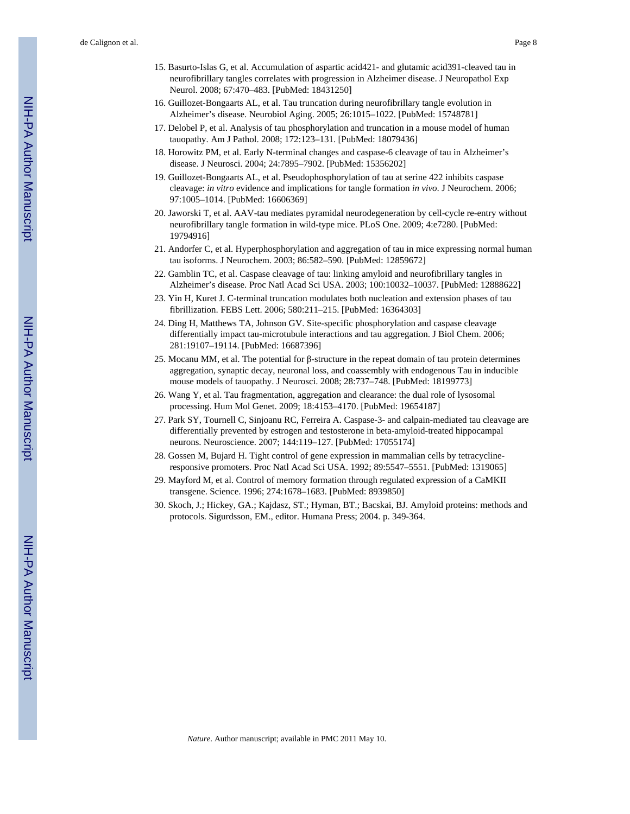- 15. Basurto-Islas G, et al. Accumulation of aspartic acid421- and glutamic acid391-cleaved tau in neurofibrillary tangles correlates with progression in Alzheimer disease. J Neuropathol Exp Neurol. 2008; 67:470–483. [PubMed: 18431250]
- 16. Guillozet-Bongaarts AL, et al. Tau truncation during neurofibrillary tangle evolution in Alzheimer's disease. Neurobiol Aging. 2005; 26:1015–1022. [PubMed: 15748781]
- 17. Delobel P, et al. Analysis of tau phosphorylation and truncation in a mouse model of human tauopathy. Am J Pathol. 2008; 172:123–131. [PubMed: 18079436]
- 18. Horowitz PM, et al. Early N-terminal changes and caspase-6 cleavage of tau in Alzheimer's disease. J Neurosci. 2004; 24:7895–7902. [PubMed: 15356202]
- 19. Guillozet-Bongaarts AL, et al. Pseudophosphorylation of tau at serine 422 inhibits caspase cleavage: *in vitro* evidence and implications for tangle formation *in vivo*. J Neurochem. 2006; 97:1005–1014. [PubMed: 16606369]
- 20. Jaworski T, et al. AAV-tau mediates pyramidal neurodegeneration by cell-cycle re-entry without neurofibrillary tangle formation in wild-type mice. PLoS One. 2009; 4:e7280. [PubMed: 19794916]
- 21. Andorfer C, et al. Hyperphosphorylation and aggregation of tau in mice expressing normal human tau isoforms. J Neurochem. 2003; 86:582–590. [PubMed: 12859672]
- 22. Gamblin TC, et al. Caspase cleavage of tau: linking amyloid and neurofibrillary tangles in Alzheimer's disease. Proc Natl Acad Sci USA. 2003; 100:10032–10037. [PubMed: 12888622]
- 23. Yin H, Kuret J. C-terminal truncation modulates both nucleation and extension phases of tau fibrillization. FEBS Lett. 2006; 580:211–215. [PubMed: 16364303]
- 24. Ding H, Matthews TA, Johnson GV. Site-specific phosphorylation and caspase cleavage differentially impact tau-microtubule interactions and tau aggregation. J Biol Chem. 2006; 281:19107–19114. [PubMed: 16687396]
- 25. Mocanu MM, et al. The potential for β-structure in the repeat domain of tau protein determines aggregation, synaptic decay, neuronal loss, and coassembly with endogenous Tau in inducible mouse models of tauopathy. J Neurosci. 2008; 28:737–748. [PubMed: 18199773]
- 26. Wang Y, et al. Tau fragmentation, aggregation and clearance: the dual role of lysosomal processing. Hum Mol Genet. 2009; 18:4153–4170. [PubMed: 19654187]
- 27. Park SY, Tournell C, Sinjoanu RC, Ferreira A. Caspase-3- and calpain-mediated tau cleavage are differentially prevented by estrogen and testosterone in beta-amyloid-treated hippocampal neurons. Neuroscience. 2007; 144:119–127. [PubMed: 17055174]
- 28. Gossen M, Bujard H. Tight control of gene expression in mammalian cells by tetracyclineresponsive promoters. Proc Natl Acad Sci USA. 1992; 89:5547–5551. [PubMed: 1319065]
- 29. Mayford M, et al. Control of memory formation through regulated expression of a CaMKII transgene. Science. 1996; 274:1678–1683. [PubMed: 8939850]
- 30. Skoch, J.; Hickey, GA.; Kajdasz, ST.; Hyman, BT.; Bacskai, BJ. Amyloid proteins: methods and protocols. Sigurdsson, EM., editor. Humana Press; 2004. p. 349-364.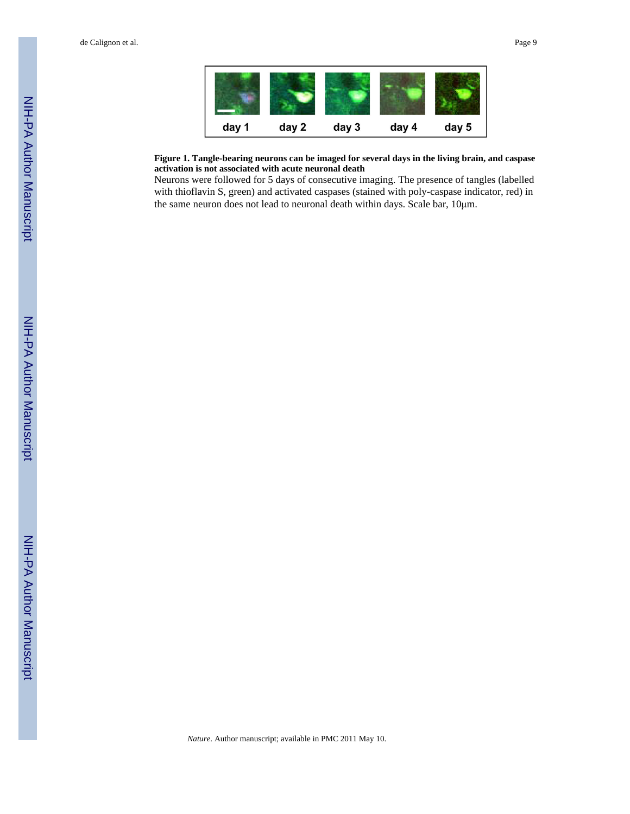de Calignon et al. Page 9



#### **Figure 1. Tangle-bearing neurons can be imaged for several days in the living brain, and caspase activation is not associated with acute neuronal death**

Neurons were followed for 5 days of consecutive imaging. The presence of tangles (labelled with thioflavin S, green) and activated caspases (stained with poly-caspase indicator, red) in the same neuron does not lead to neuronal death within days. Scale bar, 10μm.

*Nature*. Author manuscript; available in PMC 2011 May 10.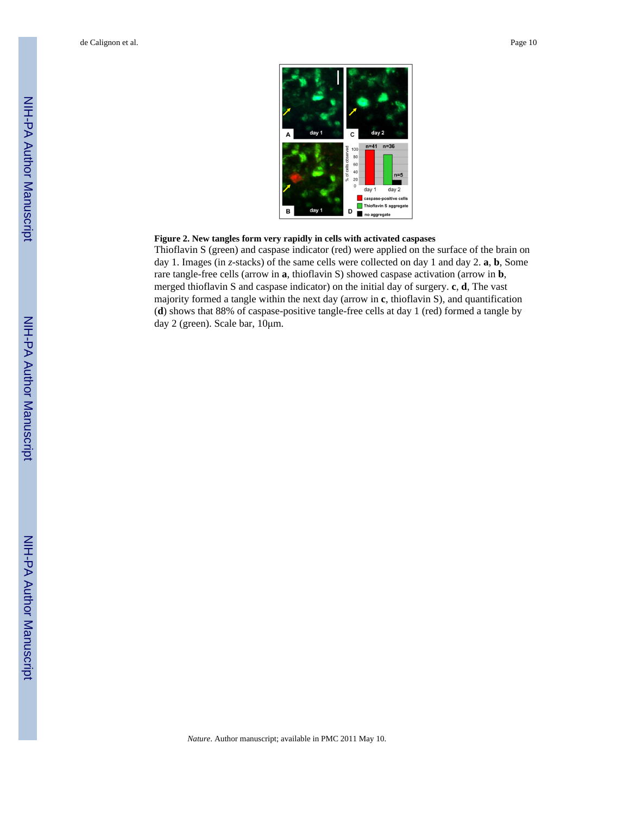

#### **Figure 2. New tangles form very rapidly in cells with activated caspases**

Thioflavin S (green) and caspase indicator (red) were applied on the surface of the brain on day 1. Images (in *z*-stacks) of the same cells were collected on day 1 and day 2. **a**, **b**, Some rare tangle-free cells (arrow in **a**, thioflavin S) showed caspase activation (arrow in **b**, merged thioflavin S and caspase indicator) on the initial day of surgery. **c**, **d**, The vast majority formed a tangle within the next day (arrow in **c**, thioflavin S), and quantification (**d**) shows that 88% of caspase-positive tangle-free cells at day 1 (red) formed a tangle by day 2 (green). Scale bar, 10μm.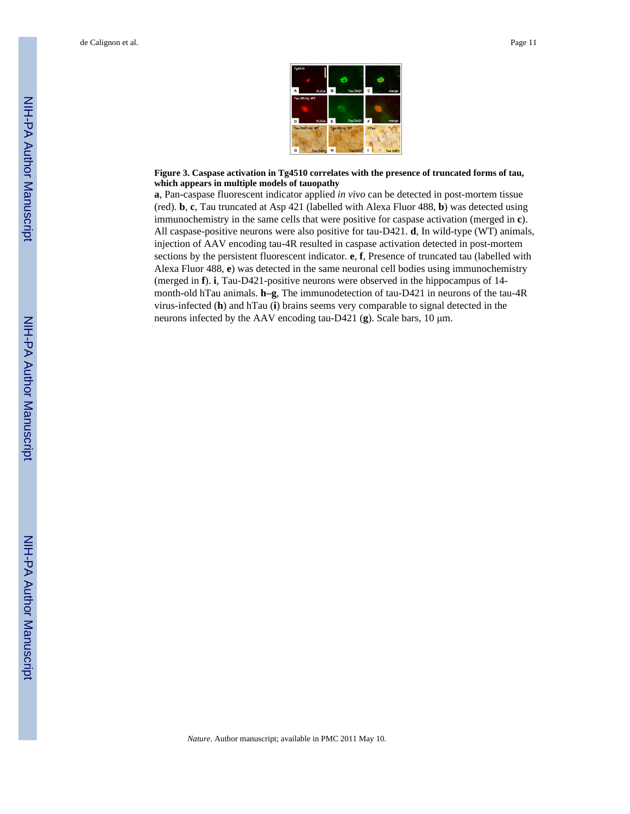

#### **Figure 3. Caspase activation in Tg4510 correlates with the presence of truncated forms of tau, which appears in multiple models of tauopathy**

**a**, Pan-caspase fluorescent indicator applied *in vivo* can be detected in post-mortem tissue (red). **b**, **c**, Tau truncated at Asp 421 (labelled with Alexa Fluor 488, **b**) was detected using immunochemistry in the same cells that were positive for caspase activation (merged in **c**). All caspase-positive neurons were also positive for tau-D421. **d**, In wild-type (WT) animals, injection of AAV encoding tau-4R resulted in caspase activation detected in post-mortem sections by the persistent fluorescent indicator. **e**, **f**, Presence of truncated tau (labelled with Alexa Fluor 488, **e**) was detected in the same neuronal cell bodies using immunochemistry (merged in **f**). **i**, Tau-D421-positive neurons were observed in the hippocampus of 14 month-old hTau animals. **h–g**, The immunodetection of tau-D421 in neurons of the tau-4R virus-infected (**h**) and hTau (**i**) brains seems very comparable to signal detected in the neurons infected by the AAV encoding tau-D421 (**g**). Scale bars, 10 μm.